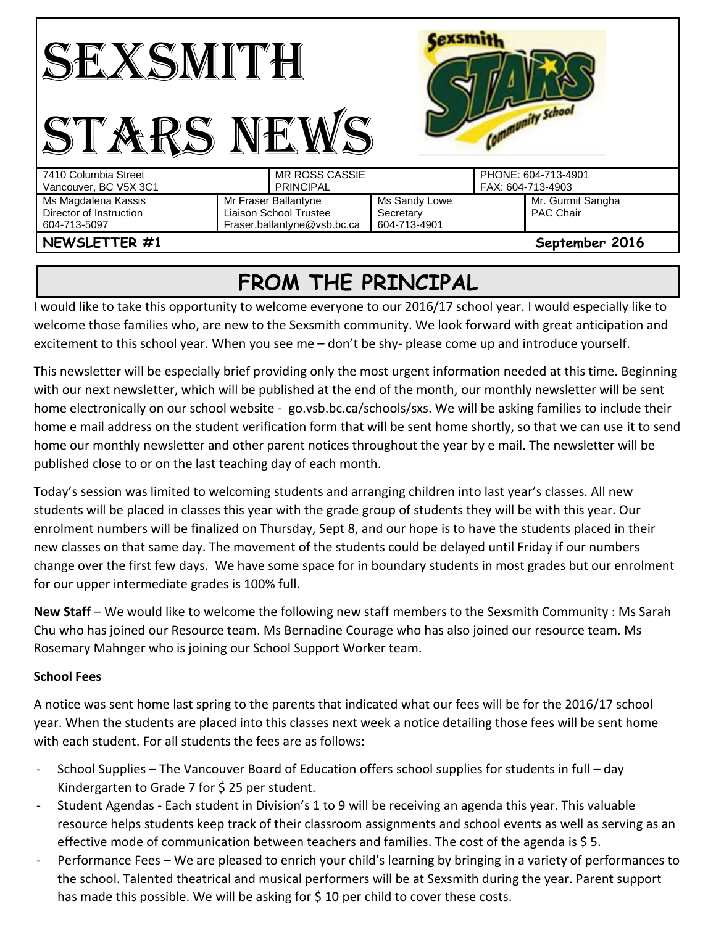|                         |                             |               | sunity School       |
|-------------------------|-----------------------------|---------------|---------------------|
| 7410 Columbia Street    | <b>MR ROSS CASSIE</b>       |               | PHONE: 604-713-4901 |
| Vancouver, BC V5X 3C1   | <b>PRINCIPAL</b>            |               | FAX: 604-713-4903   |
| Ms Magdalena Kassis     | Mr Fraser Ballantyne        | Ms Sandy Lowe | Mr. Gurmit Sangha   |
| Director of Instruction | Liaison School Trustee      | Secretary     | <b>PAC Chair</b>    |
| 604-713-5097            | Fraser.ballantyne@vsb.bc.ca | 604-713-4901  |                     |
| NEWSLETTER #1           |                             |               | September 2016      |

## **FROM THE PRINCIPAL**

I would like to take this opportunity to welcome everyone to our 2016/17 school year. I would especially like to welcome those families who, are new to the Sexsmith community. We look forward with great anticipation and excitement to this school year. When you see me – don't be shy- please come up and introduce yourself.

This newsletter will be especially brief providing only the most urgent information needed at this time. Beginning with our next newsletter, which will be published at the end of the month, our monthly newsletter will be sent home electronically on our school website - go.vsb.bc.ca/schools/sxs. We will be asking families to include their home e mail address on the student verification form that will be sent home shortly, so that we can use it to send home our monthly newsletter and other parent notices throughout the year by e mail. The newsletter will be published close to or on the last teaching day of each month.

Today's session was limited to welcoming students and arranging children into last year's classes. All new students will be placed in classes this year with the grade group of students they will be with this year. Our enrolment numbers will be finalized on Thursday, Sept 8, and our hope is to have the students placed in their new classes on that same day. The movement of the students could be delayed until Friday if our numbers change over the first few days. We have some space for in boundary students in most grades but our enrolment for our upper intermediate grades is 100% full.

**New Staff** – We would like to welcome the following new staff members to the Sexsmith Community : Ms Sarah Chu who has joined our Resource team. Ms Bernadine Courage who has also joined our resource team. Ms Rosemary Mahnger who is joining our School Support Worker team.

## **School Fees**

A notice was sent home last spring to the parents that indicated what our fees will be for the 2016/17 school year. When the students are placed into this classes next week a notice detailing those fees will be sent home with each student. For all students the fees are as follows:

- School Supplies The Vancouver Board of Education offers school supplies for students in full day Kindergarten to Grade 7 for \$25 per student.
- Student Agendas Each student in Division's 1 to 9 will be receiving an agenda this year. This valuable resource helps students keep track of their classroom assignments and school events as well as serving as an effective mode of communication between teachers and families. The cost of the agenda is \$ 5.
- Performance Fees We are pleased to enrich your child's learning by bringing in a variety of performances to the school. Talented theatrical and musical performers will be at Sexsmith during the year. Parent support has made this possible. We will be asking for  $\frac{1}{2}$  10 per child to cover these costs.